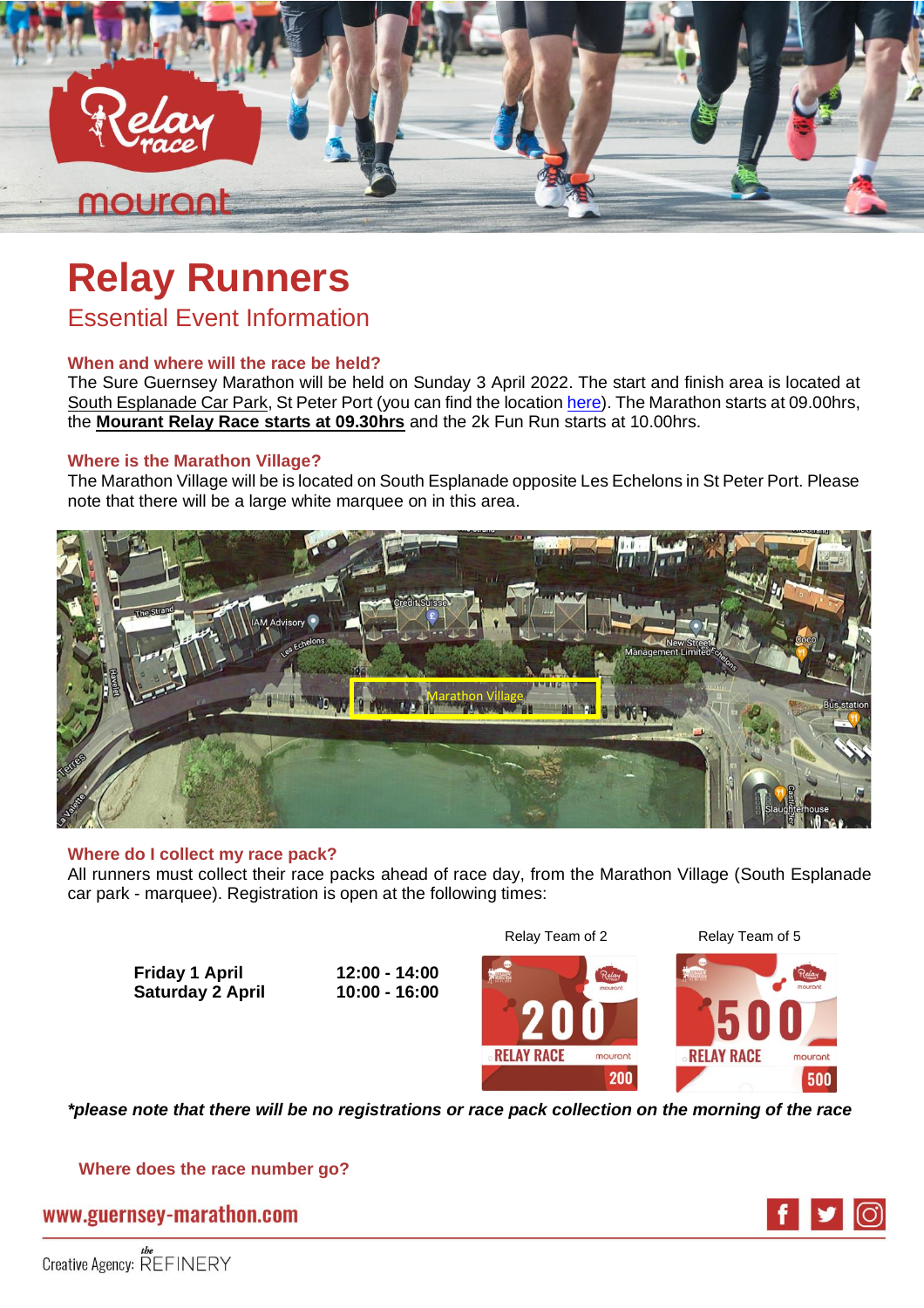

# **Relay Runners**

Essential Event Information

### **When and where will the race be held?**

The Sure Guernsey Marathon will be held on Sunday 3 April 2022. The start and finish area is located at South Esplanade Car Park, St Peter Port (you can find the location [here\)](https://www.google.com/maps/@49.4513336,-2.5362266,417m/data=!3m1!1e3). The Marathon starts at 09.00hrs, the **Mourant Relay Race starts at 09.30hrs** and the 2k Fun Run starts at 10.00hrs.

### **Where is the Marathon Village?**

The Marathon Village will be is located on South Esplanade opposite Les Echelons in St Peter Port. Please note that there will be a large white marquee on in this area.



### **Where do I collect my race pack?**

All runners must collect their race packs ahead of race day, from the Marathon Village (South Esplanade car park - marquee). Registration is open at the following times:

**Friday 1 April 12:00 - 14:00 Saturday 2 April 10:00 - 16:00** 

Relay Team of 2 Relay Team of 5



*\*please note that there will be no registrations or race pack collection on the morning of the race*

**Where does the race number go?**

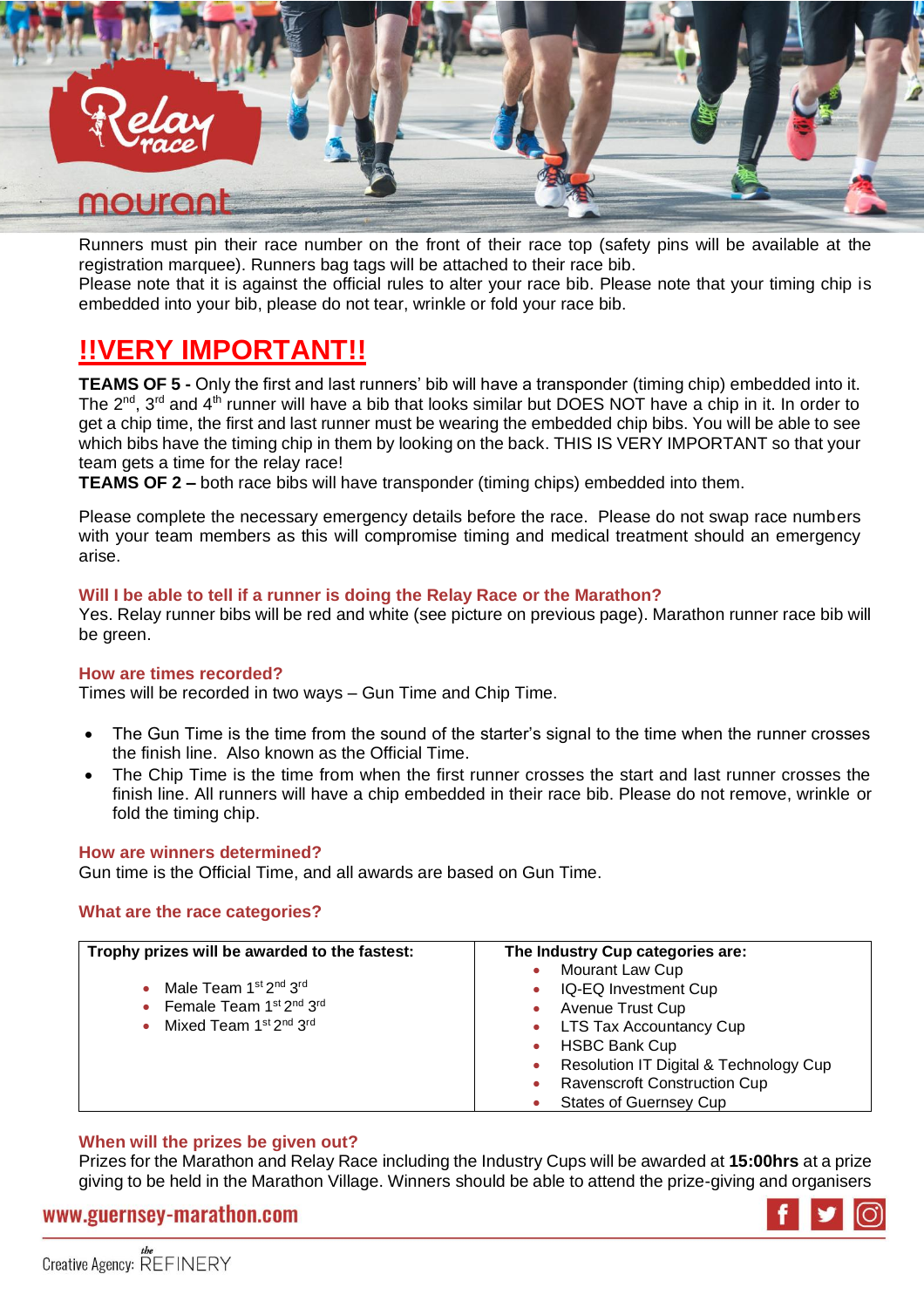

Runners must pin their race number on the front of their race top (safety pins will be available at the registration marquee). Runners bag tags will be attached to their race bib.

Please note that it is against the official rules to alter your race bib. Please note that your timing chip is embedded into your bib, please do not tear, wrinkle or fold your race bib.

# **!!VERY IMPORTANT!!**

**TEAMS OF 5 -** Only the first and last runners' bib will have a transponder (timing chip) embedded into it. The  $2^{nd}$ ,  $3^{rd}$  and  $4^{th}$  runner will have a bib that looks similar but DOES NOT have a chip in it. In order to get a chip time, the first and last runner must be wearing the embedded chip bibs. You will be able to see which bibs have the timing chip in them by looking on the back. THIS IS VERY IMPORTANT so that your team gets a time for the relay race!

**TEAMS OF 2 –** both race bibs will have transponder (timing chips) embedded into them.

Please complete the necessary emergency details before the race. Please do not swap race numbers with your team members as this will compromise timing and medical treatment should an emergency arise.

### **Will I be able to tell if a runner is doing the Relay Race or the Marathon?**

Yes. Relay runner bibs will be red and white (see picture on previous page). Marathon runner race bib will be green.

### **How are times recorded?**

Times will be recorded in two ways – Gun Time and Chip Time.

- The Gun Time is the time from the sound of the starter's signal to the time when the runner crosses the finish line. Also known as the Official Time.
- The Chip Time is the time from when the first runner crosses the start and last runner crosses the finish line. All runners will have a chip embedded in their race bib. Please do not remove, wrinkle or fold the timing chip.

### **How are winners determined?**

Gun time is the Official Time, and all awards are based on Gun Time.

### **What are the race categories?**

| Trophy prizes will be awarded to the fastest:              | The Industry Cup categories are:       |  |
|------------------------------------------------------------|----------------------------------------|--|
|                                                            | Mourant Law Cup                        |  |
| Male Team 1st 2 <sup>nd</sup> 3 <sup>rd</sup><br>$\bullet$ | IQ-EQ Investment Cup                   |  |
| • Female Team 1st 2nd 3rd                                  | Avenue Trust Cup                       |  |
| Mixed Team 1st 2nd 3rd<br>$\bullet$                        | <b>LTS Tax Accountancy Cup</b>         |  |
|                                                            | <b>HSBC Bank Cup</b>                   |  |
|                                                            | Resolution IT Digital & Technology Cup |  |
|                                                            | <b>Ravenscroft Construction Cup</b>    |  |
|                                                            | <b>States of Guernsey Cup</b>          |  |

### **When will the prizes be given out?**

Prizes for the Marathon and Relay Race including the Industry Cups will be awarded at **15:00hrs** at a prize giving to be held in the Marathon Village. Winners should be able to attend the prize-giving and organisers

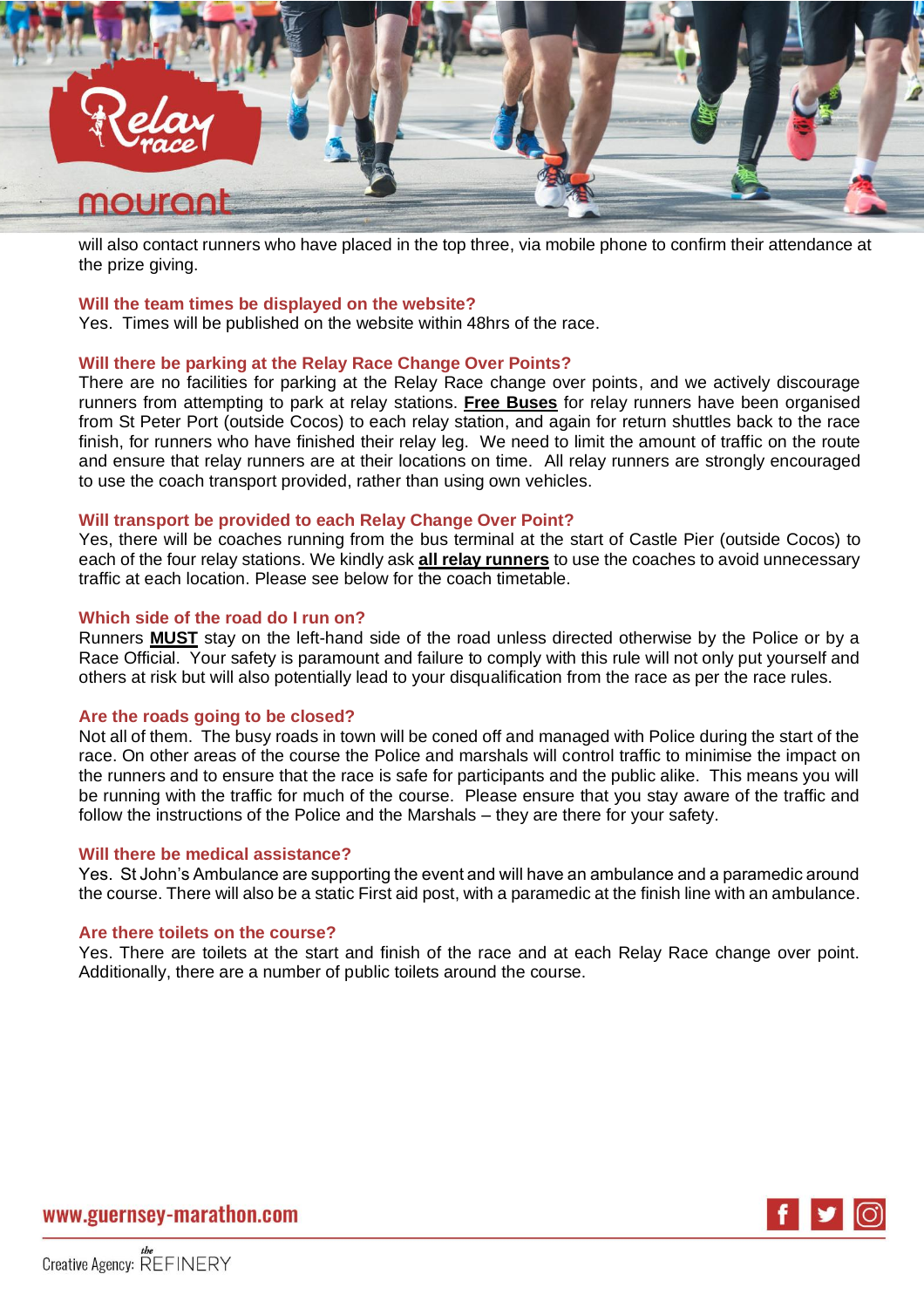

will also contact runners who have placed in the top three, via mobile phone to confirm their attendance at the prize giving.

### **Will the team times be displayed on the website?**

Yes. Times will be published on the website within 48hrs of the race.

### **Will there be parking at the Relay Race Change Over Points?**

There are no facilities for parking at the Relay Race change over points, and we actively discourage runners from attempting to park at relay stations. **Free Buses** for relay runners have been organised from St Peter Port (outside Cocos) to each relay station, and again for return shuttles back to the race finish, for runners who have finished their relay leg. We need to limit the amount of traffic on the route and ensure that relay runners are at their locations on time. All relay runners are strongly encouraged to use the coach transport provided, rather than using own vehicles.

### **Will transport be provided to each Relay Change Over Point?**

Yes, there will be coaches running from the bus terminal at the start of Castle Pier (outside Cocos) to each of the four relay stations. We kindly ask **all relay runners** to use the coaches to avoid unnecessary traffic at each location. Please see below for the coach timetable.

### **Which side of the road do I run on?**

Runners **MUST** stay on the left-hand side of the road unless directed otherwise by the Police or by a Race Official. Your safety is paramount and failure to comply with this rule will not only put yourself and others at risk but will also potentially lead to your disqualification from the race as per the race rules.

#### **Are the roads going to be closed?**

Not all of them. The busy roads in town will be coned off and managed with Police during the start of the race. On other areas of the course the Police and marshals will control traffic to minimise the impact on the runners and to ensure that the race is safe for participants and the public alike. This means you will be running with the traffic for much of the course. Please ensure that you stay aware of the traffic and follow the instructions of the Police and the Marshals – they are there for your safety.

### **Will there be medical assistance?**

Yes. St John's Ambulance are supporting the event and will have an ambulance and a paramedic around the course. There will also be a static First aid post, with a paramedic at the finish line with an ambulance.

#### **Are there toilets on the course?**

Yes. There are toilets at the start and finish of the race and at each Relay Race change over point. Additionally, there are a number of public toilets around the course.

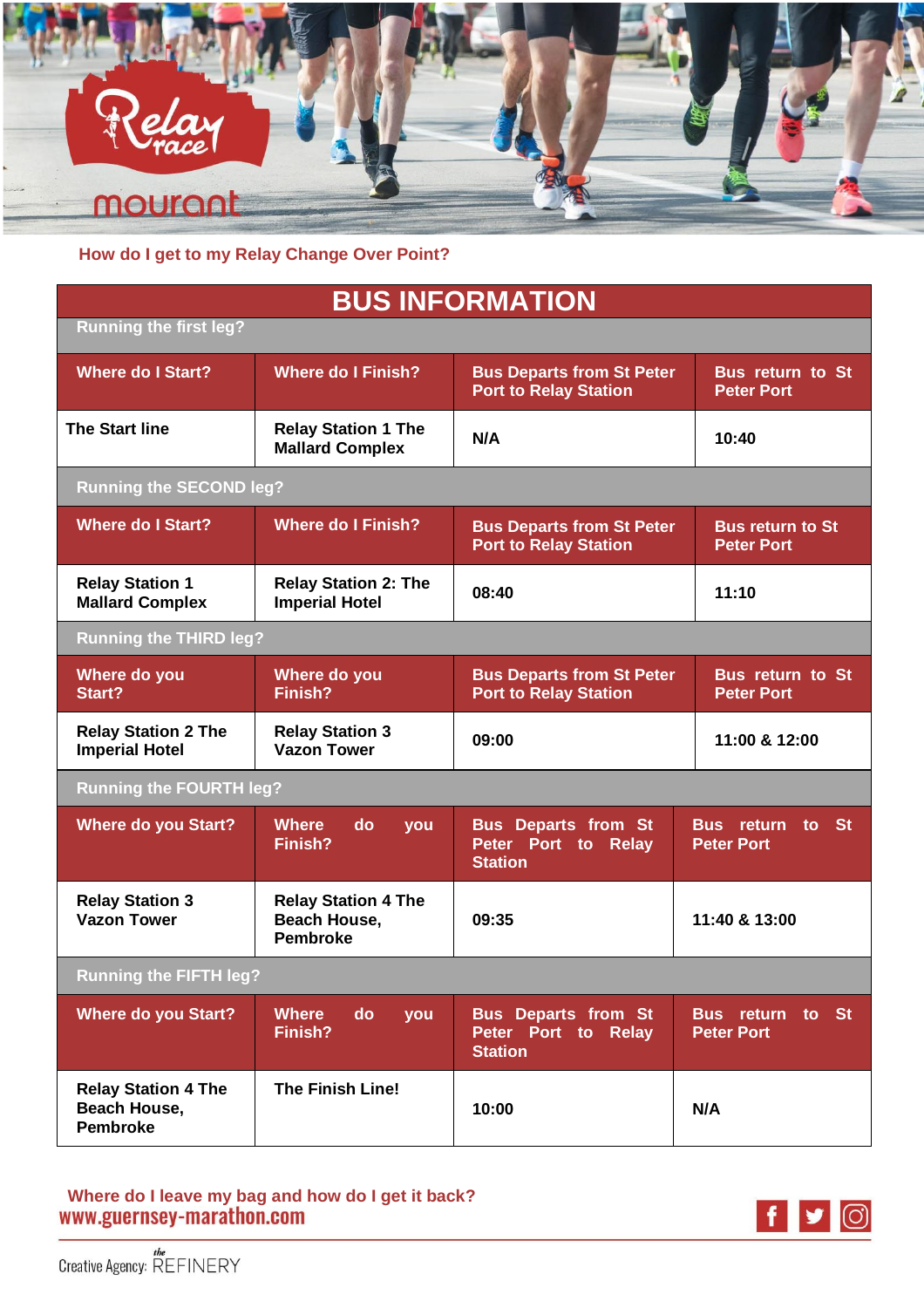

**How do I get to my Relay Change Over Point?**

# **BUS INFORMATION**

| <b>Running the first leg?</b>                                 |                                                               |                                                                     |                                              |
|---------------------------------------------------------------|---------------------------------------------------------------|---------------------------------------------------------------------|----------------------------------------------|
| <b>Where do I Start?</b>                                      | <b>Where do I Finish?</b>                                     | <b>Bus Departs from St Peter</b><br><b>Port to Relay Station</b>    | <b>Bus return to St</b><br><b>Peter Port</b> |
| <b>The Start line</b>                                         | <b>Relay Station 1 The</b><br><b>Mallard Complex</b>          | N/A                                                                 | 10:40                                        |
| <b>Running the SECOND leg?</b>                                |                                                               |                                                                     |                                              |
| <b>Where do I Start?</b>                                      | <b>Where do I Finish?</b>                                     | <b>Bus Departs from St Peter</b><br><b>Port to Relay Station</b>    | <b>Bus return to St</b><br><b>Peter Port</b> |
| <b>Relay Station 1</b><br><b>Mallard Complex</b>              | <b>Relay Station 2: The</b><br><b>Imperial Hotel</b>          | 08:40                                                               | 11:10                                        |
| <b>Running the THIRD leg?</b>                                 |                                                               |                                                                     |                                              |
| Where do you<br>Start?                                        | Where do you<br>Finish?                                       | <b>Bus Departs from St Peter</b><br><b>Port to Relay Station</b>    | <b>Bus return to St</b><br><b>Peter Port</b> |
| <b>Relay Station 2 The</b><br><b>Imperial Hotel</b>           | <b>Relay Station 3</b><br><b>Vazon Tower</b>                  | 09:00                                                               | 11:00 & 12:00                                |
| <b>Running the FOURTH leg?</b>                                |                                                               |                                                                     |                                              |
| <b>Where do you Start?</b>                                    | <b>Where</b><br>do<br>you<br>Finish?                          | <b>Bus Departs from St</b><br>Peter Port to Relay<br><b>Station</b> | <b>Bus return to St</b><br><b>Peter Port</b> |
| <b>Relay Station 3</b><br><b>Vazon Tower</b>                  | <b>Relay Station 4 The</b><br>Beach House,<br><b>Pembroke</b> | 09:35                                                               | 11:40 & 13:00                                |
| <b>Running the FIFTH leg?</b>                                 |                                                               |                                                                     |                                              |
| <b>Where do you Start?</b>                                    | Where<br>do<br>you<br>Finish?                                 | <b>Bus Departs from St</b><br>Peter Port to Relay<br><b>Station</b> | Bus return to St<br><b>Peter Port</b>        |
| <b>Relay Station 4 The</b><br>Beach House,<br><b>Pembroke</b> | <b>The Finish Line!</b>                                       | 10:00                                                               | N/A                                          |

Where do I leave my bag and how do I get it back?<br>WWW.guernsey-marathon.com

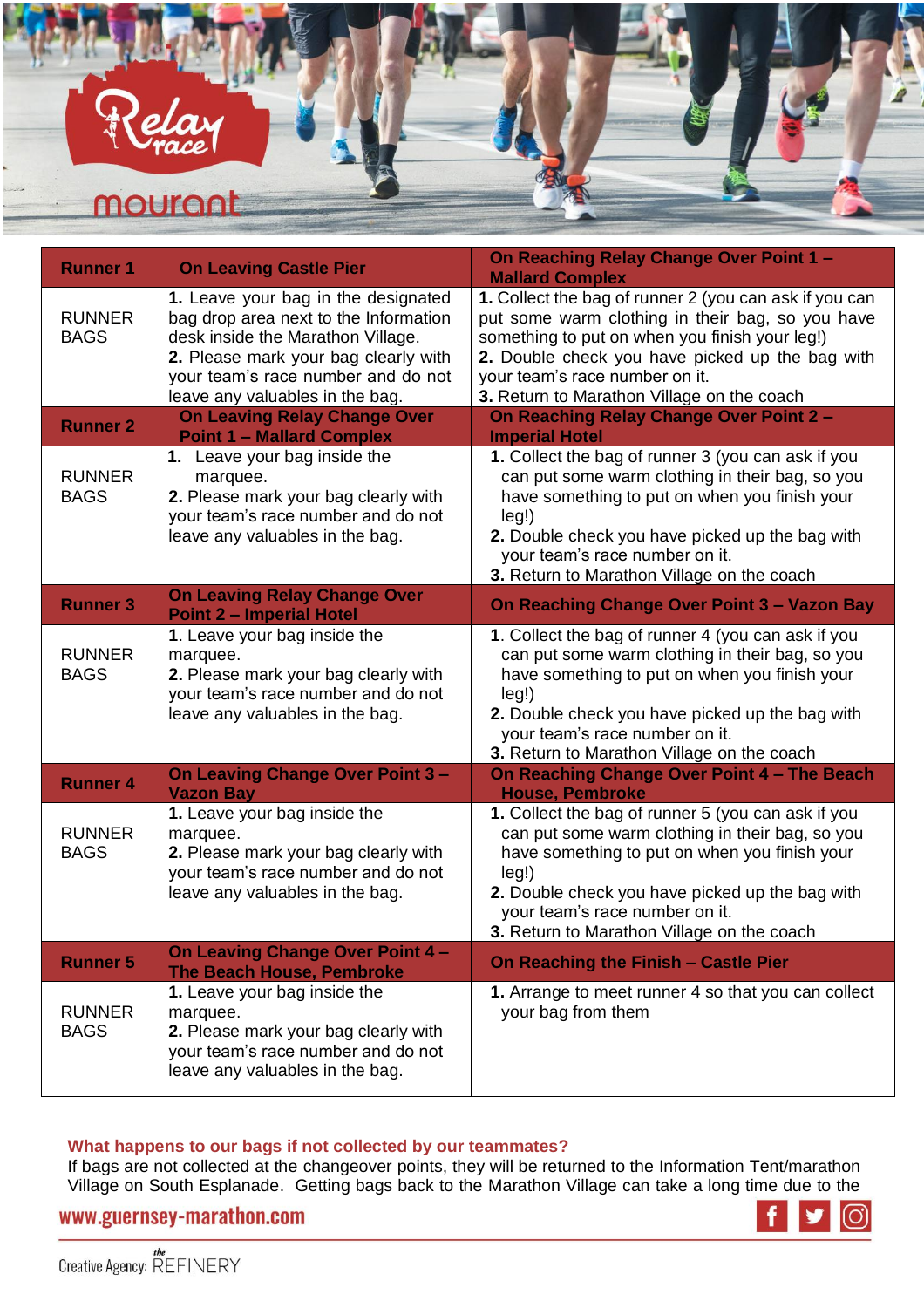

| <b>Runner 1</b>              | <b>On Leaving Castle Pier</b>                                                                                                                                                                                                      | On Reaching Relay Change Over Point 1 -<br><b>Mallard Complex</b>                                                                                                                                                                                                                                  |
|------------------------------|------------------------------------------------------------------------------------------------------------------------------------------------------------------------------------------------------------------------------------|----------------------------------------------------------------------------------------------------------------------------------------------------------------------------------------------------------------------------------------------------------------------------------------------------|
| <b>RUNNER</b><br><b>BAGS</b> | 1. Leave your bag in the designated<br>bag drop area next to the Information<br>desk inside the Marathon Village.<br>2. Please mark your bag clearly with<br>your team's race number and do not<br>leave any valuables in the bag. | 1. Collect the bag of runner 2 (you can ask if you can<br>put some warm clothing in their bag, so you have<br>something to put on when you finish your leg!)<br>2. Double check you have picked up the bag with<br>your team's race number on it.<br>3. Return to Marathon Village on the coach    |
| <b>Runner 2</b>              | <b>On Leaving Relay Change Over</b><br><b>Point 1 - Mallard Complex</b>                                                                                                                                                            | On Reaching Relay Change Over Point 2 -<br><b>Imperial Hotel</b>                                                                                                                                                                                                                                   |
| <b>RUNNER</b><br><b>BAGS</b> | 1. Leave your bag inside the<br>marquee.<br>2. Please mark your bag clearly with<br>your team's race number and do not<br>leave any valuables in the bag.                                                                          | 1. Collect the bag of runner 3 (you can ask if you<br>can put some warm clothing in their bag, so you<br>have something to put on when you finish your<br>leg!)<br>2. Double check you have picked up the bag with<br>your team's race number on it.<br>3. Return to Marathon Village on the coach |
| <b>Runner 3</b>              | <b>On Leaving Relay Change Over</b><br><b>Point 2 - Imperial Hotel</b>                                                                                                                                                             | <b>On Reaching Change Over Point 3 - Vazon Bay</b>                                                                                                                                                                                                                                                 |
| <b>RUNNER</b><br><b>BAGS</b> | 1. Leave your bag inside the<br>marquee.<br>2. Please mark your bag clearly with<br>your team's race number and do not<br>leave any valuables in the bag.                                                                          | 1. Collect the bag of runner 4 (you can ask if you<br>can put some warm clothing in their bag, so you<br>have something to put on when you finish your<br>leg!)<br>2. Double check you have picked up the bag with<br>your team's race number on it.<br>3. Return to Marathon Village on the coach |
| <b>Runner 4</b>              | <b>On Leaving Change Over Point 3-</b><br><b>Vazon Bay</b>                                                                                                                                                                         | On Reaching Change Over Point 4 - The Beach<br><b>House, Pembroke</b>                                                                                                                                                                                                                              |
| <b>RUNNER</b><br><b>BAGS</b> | 1. Leave your bag inside the<br>marquee.<br>2. Please mark your bag clearly with<br>your team's race number and do not<br>leave any valuables in the bag.                                                                          | 1. Collect the bag of runner 5 (you can ask if you<br>can put some warm clothing in their bag, so you<br>have something to put on when you finish your<br>leg!)<br>2. Double check you have picked up the bag with<br>your team's race number on it.<br>3. Return to Marathon Village on the coach |
| <b>Runner 5</b>              | On Leaving Change Over Point 4 -<br><b>The Beach House, Pembroke</b>                                                                                                                                                               | On Reaching the Finish - Castle Pier                                                                                                                                                                                                                                                               |
| <b>RUNNER</b><br><b>BAGS</b> | 1. Leave your bag inside the<br>marquee.<br>2. Please mark your bag clearly with<br>your team's race number and do not<br>leave any valuables in the bag.                                                                          | 1. Arrange to meet runner 4 so that you can collect<br>your bag from them                                                                                                                                                                                                                          |

### **What happens to our bags if not collected by our teammates?**

If bags are not collected at the changeover points, they will be returned to the Information Tent/marathon Village on South Esplanade. Getting bags back to the Marathon Village can take a long time due to the

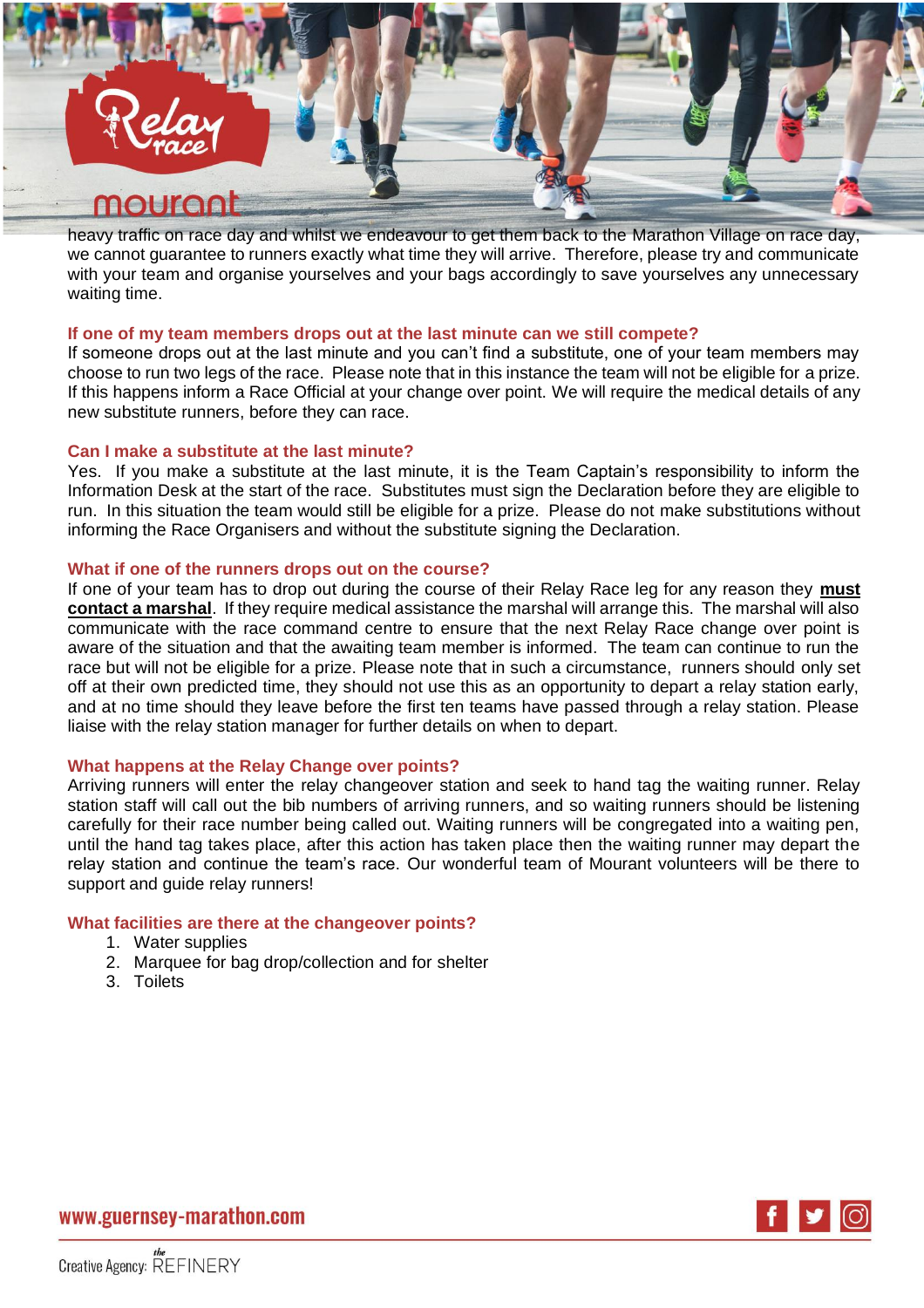

heavy traffic on race day and whilst we endeavour to get them back to the Marathon Village on race day, we cannot guarantee to runners exactly what time they will arrive. Therefore, please try and communicate with your team and organise yourselves and your bags accordingly to save yourselves any unnecessary waiting time.

### **If one of my team members drops out at the last minute can we still compete?**

If someone drops out at the last minute and you can't find a substitute, one of your team members may choose to run two legs of the race. Please note that in this instance the team will not be eligible for a prize. If this happens inform a Race Official at your change over point. We will require the medical details of any new substitute runners, before they can race.

### **Can I make a substitute at the last minute?**

Yes. If you make a substitute at the last minute, it is the Team Captain's responsibility to inform the Information Desk at the start of the race. Substitutes must sign the Declaration before they are eligible to run. In this situation the team would still be eligible for a prize. Please do not make substitutions without informing the Race Organisers and without the substitute signing the Declaration.

### **What if one of the runners drops out on the course?**

If one of your team has to drop out during the course of their Relay Race leg for any reason they **must contact a marshal**. If they require medical assistance the marshal will arrange this. The marshal will also communicate with the race command centre to ensure that the next Relay Race change over point is aware of the situation and that the awaiting team member is informed. The team can continue to run the race but will not be eligible for a prize. Please note that in such a circumstance, runners should only set off at their own predicted time, they should not use this as an opportunity to depart a relay station early, and at no time should they leave before the first ten teams have passed through a relay station. Please liaise with the relay station manager for further details on when to depart.

### **What happens at the Relay Change over points?**

Arriving runners will enter the relay changeover station and seek to hand tag the waiting runner. Relay station staff will call out the bib numbers of arriving runners, and so waiting runners should be listening carefully for their race number being called out. Waiting runners will be congregated into a waiting pen, until the hand tag takes place, after this action has taken place then the waiting runner may depart the relay station and continue the team's race. Our wonderful team of Mourant volunteers will be there to support and guide relay runners!

### **What facilities are there at the changeover points?**

- 1. Water supplies
- 2. Marquee for bag drop/collection and for shelter
- 3. Toilets